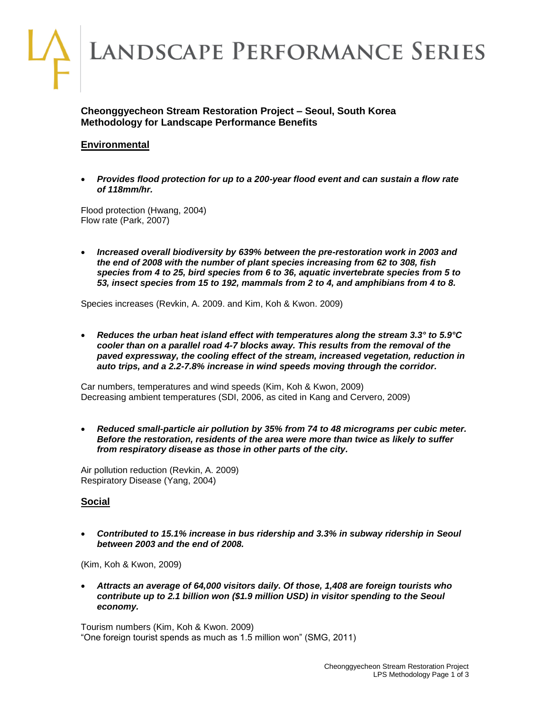

## **Cheonggyecheon Stream Restoration Project – Seoul, South Korea Methodology for Landscape Performance Benefits**

# **Environmental**

 *Provides flood protection for up to a 200-year flood event and can sustain a flow rate of 118mm/hr.*

Flood protection (Hwang, 2004) Flow rate (Park, 2007)

 *Increased overall biodiversity by 639% between the pre-restoration work in 2003 and the end of 2008 with the number of plant species increasing from 62 to 308, fish species from 4 to 25, bird species from 6 to 36, aquatic invertebrate species from 5 to 53, insect species from 15 to 192, mammals from 2 to 4, and amphibians from 4 to 8.*

Species increases (Revkin, A. 2009. and Kim, Koh & Kwon. 2009)

 *Reduces the urban heat island effect with temperatures along the stream 3.3° to 5.9°C cooler than on a parallel road 4-7 blocks away. This results from the removal of the paved expressway, the cooling effect of the stream, increased vegetation, reduction in auto trips, and a 2.2-7.8% increase in wind speeds moving through the corridor.*

Car numbers, temperatures and wind speeds (Kim, Koh & Kwon, 2009) Decreasing ambient temperatures (SDI, 2006, as cited in Kang and Cervero, 2009)

 *Reduced small-particle air pollution by 35% from 74 to 48 micrograms per cubic meter. Before the restoration, residents of the area were more than twice as likely to suffer from respiratory disease as those in other parts of the city.*

Air pollution reduction (Revkin, A. 2009) Respiratory Disease (Yang, 2004)

## **Social**

 *Contributed to 15.1% increase in bus ridership and 3.3% in subway ridership in Seoul between 2003 and the end of 2008.*

(Kim, Koh & Kwon, 2009)

 *Attracts an average of 64,000 visitors daily. Of those, 1,408 are foreign tourists who contribute up to 2.1 billion won (\$1.9 million USD) in visitor spending to the Seoul economy.*

Tourism numbers (Kim, Koh & Kwon. 2009) "One foreign tourist spends as much as 1.5 million won" (SMG, 2011)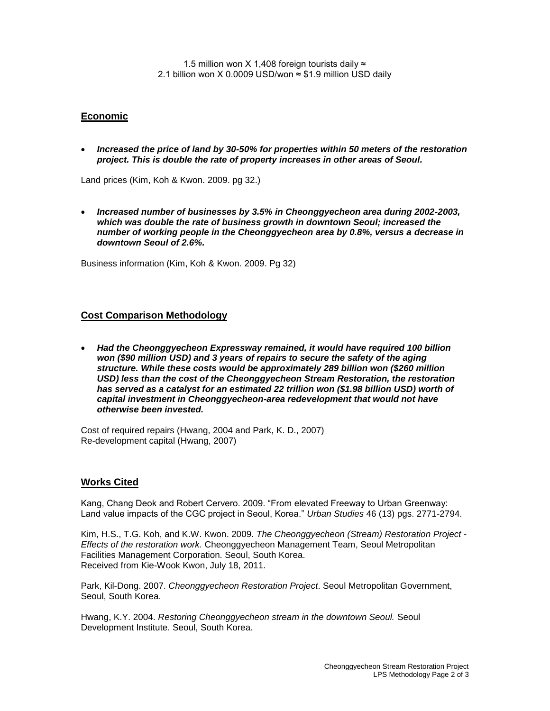1.5 million won X 1,408 foreign tourists daily  $\approx$ 2.1 billion won X 0.0009 USD/won  $\approx$  \$1.9 million USD daily

### **Economic**

 *Increased the price of land by 30-50% for properties within 50 meters of the restoration project. This is double the rate of property increases in other areas of Seoul.*

Land prices (Kim, Koh & Kwon. 2009. pg 32.)

 *Increased number of businesses by 3.5% in Cheonggyecheon area during 2002-2003, which was double the rate of business growth in downtown Seoul; increased the number of working people in the Cheonggyecheon area by 0.8%, versus a decrease in downtown Seoul of 2.6%.*

Business information (Kim, Koh & Kwon. 2009. Pg 32)

#### **Cost Comparison Methodology**

 *Had the Cheonggyecheon Expressway remained, it would have required 100 billion won (\$90 million USD) and 3 years of repairs to secure the safety of the aging structure. While these costs would be approximately 289 billion won (\$260 million USD) less than the cost of the Cheonggyecheon Stream Restoration, the restoration has served as a catalyst for an estimated 22 trillion won (\$1.98 billion USD) worth of capital investment in Cheonggyecheon-area redevelopment that would not have otherwise been invested.*

Cost of required repairs (Hwang, 2004 and Park, K. D., 2007) Re-development capital (Hwang, 2007)

#### **Works Cited**

Kang, Chang Deok and Robert Cervero. 2009. "From elevated Freeway to Urban Greenway: Land value impacts of the CGC project in Seoul, Korea." *Urban Studies* 46 (13) pgs. 2771-2794.

Kim, H.S., T.G. Koh, and K.W. Kwon. 2009. *The Cheonggyecheon (Stream) Restoration Project - Effects of the restoration work.* Cheonggyecheon Management Team, Seoul Metropolitan Facilities Management Corporation. Seoul, South Korea. Received from Kie-Wook Kwon, July 18, 2011.

Park, Kil-Dong. 2007. *Cheonggyecheon Restoration Project*. Seoul Metropolitan Government, Seoul, South Korea.

Hwang, K.Y. 2004. *Restoring Cheonggyecheon stream in the downtown Seoul.* Seoul Development Institute. Seoul, South Korea.